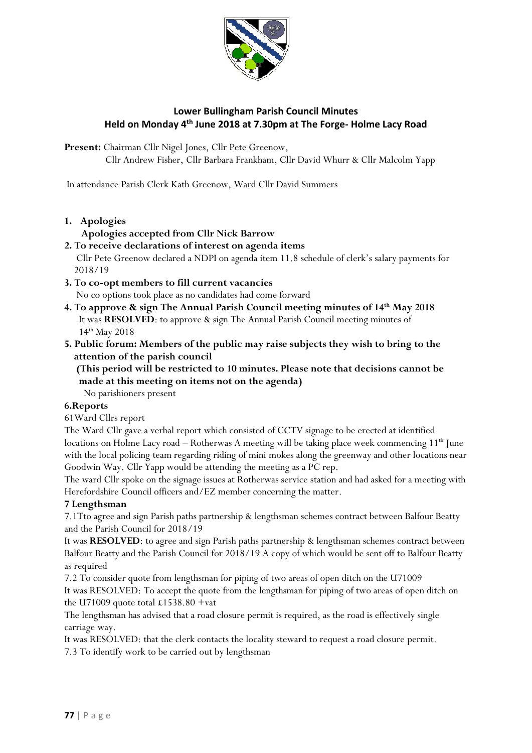

# **Lower Bullingham Parish Council Minutes Held on Monday 4 th June 2018 at 7.30pm at The Forge- Holme Lacy Road**

Present: Chairman Cllr Nigel Jones, Cllr Pete Greenow,

Cllr Andrew Fisher, Cllr Barbara Frankham, Cllr David Whurr & Cllr Malcolm Yapp

In attendance Parish Clerk Kath Greenow, Ward Cllr David Summers

**1. Apologies** 

### **Apologies accepted from Cllr Nick Barrow**

- **2. To receive declarations of interest on agenda items** Cllr Pete Greenow declared a NDPI on agenda item 11.8 schedule of clerk's salary payments for 2018/19
- **3. To co-opt members to fill current vacancies**  No co options took place as no candidates had come forward
- **4. To approve & sign The Annual Parish Council meeting minutes of 14th May 2018** It was **RESOLVED**: to approve & sign The Annual Parish Council meeting minutes of 14th May 2018
- **5. Public forum: Members of the public may raise subjects they wish to bring to the attention of the parish council**
	- **(This period will be restricted to 10 minutes. Please note that decisions cannot be made at this meeting on items not on the agenda)**

No parishioners present

## **6.Reports**

61Ward Cllrs report

The Ward Cllr gave a verbal report which consisted of CCTV signage to be erected at identified locations on Holme Lacy road – Rotherwas A meeting will be taking place week commencing  $11<sup>th</sup>$  June with the local policing team regarding riding of mini mokes along the greenway and other locations near Goodwin Way. Cllr Yapp would be attending the meeting as a PC rep.

The ward Cllr spoke on the signage issues at Rotherwas service station and had asked for a meeting with Herefordshire Council officers and/EZ member concerning the matter.

## **7 Lengthsman**

7.1Tto agree and sign Parish paths partnership & lengthsman schemes contract between Balfour Beatty and the Parish Council for 2018/19

It was **RESOLVED**: to agree and sign Parish paths partnership & lengthsman schemes contract between Balfour Beatty and the Parish Council for 2018/19 A copy of which would be sent off to Balfour Beatty as required

7.2 To consider quote from lengthsman for piping of two areas of open ditch on the U71009 It was RESOLVED: To accept the quote from the lengthsman for piping of two areas of open ditch on the U71009 quote total  $£1538.80 + vat$ 

The lengthsman has advised that a road closure permit is required, as the road is effectively single carriage way.

It was RESOLVED: that the clerk contacts the locality steward to request a road closure permit. 7.3 To identify work to be carried out by lengthsman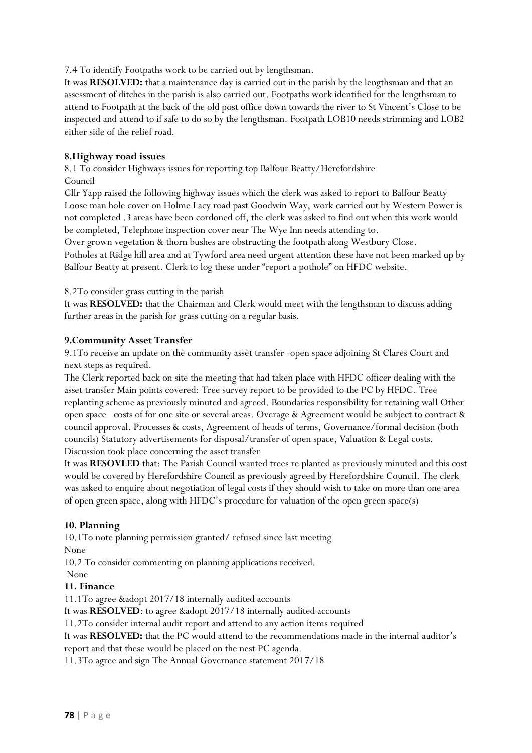7.4 To identify Footpaths work to be carried out by lengthsman.

It was **RESOLVED:** that a maintenance day is carried out in the parish by the lengthsman and that an assessment of ditches in the parish is also carried out. Footpaths work identified for the lengthsman to attend to Footpath at the back of the old post office down towards the river to St Vincent's Close to be inspected and attend to if safe to do so by the lengthsman. Footpath LOB10 needs strimming and LOB2 either side of the relief road.

### **8.Highway road issues**

8.1 To consider Highways issues for reporting top Balfour Beatty/Herefordshire Council

Cllr Yapp raised the following highway issues which the clerk was asked to report to Balfour Beatty Loose man hole cover on Holme Lacy road past Goodwin Way, work carried out by Western Power is not completed .3 areas have been cordoned off, the clerk was asked to find out when this work would be completed, Telephone inspection cover near The Wye Inn needs attending to.

Over grown vegetation & thorn bushes are obstructing the footpath along Westbury Close.

Potholes at Ridge hill area and at Tywford area need urgent attention these have not been marked up by Balfour Beatty at present. Clerk to log these under "report a pothole" on HFDC website.

8.2To consider grass cutting in the parish

It was **RESOLVED:** that the Chairman and Clerk would meet with the lengthsman to discuss adding further areas in the parish for grass cutting on a regular basis.

#### **9.Community Asset Transfer**

9.1To receive an update on the community asset transfer -open space adjoining St Clares Court and next steps as required.

The Clerk reported back on site the meeting that had taken place with HFDC officer dealing with the asset transfer Main points covered: Tree survey report to be provided to the PC by HFDC. Tree replanting scheme as previously minuted and agreed. Boundaries responsibility for retaining wall Other open space costs of for one site or several areas. Overage & Agreement would be subject to contract & council approval. Processes & costs, Agreement of heads of terms, Governance/formal decision (both councils) Statutory advertisements for disposal/transfer of open space, Valuation & Legal costs. Discussion took place concerning the asset transfer

It was **RESOVLED** that: The Parish Council wanted trees re planted as previously minuted and this cost would be covered by Herefordshire Council as previously agreed by Herefordshire Council. The clerk was asked to enquire about negotiation of legal costs if they should wish to take on more than one area of open green space, along with HFDC's procedure for valuation of the open green space(s)

#### **10. Planning**

10.1To note planning permission granted/ refused since last meeting None

10.2 To consider commenting on planning applications received. None

#### **11. Finance**

11.1To agree &adopt 2017/18 internally audited accounts

It was **RESOLVED**: to agree &adopt 2017/18 internally audited accounts

11.2To consider internal audit report and attend to any action items required

It was **RESOLVED:** that the PC would attend to the recommendations made in the internal auditor's report and that these would be placed on the nest PC agenda.

11.3To agree and sign The Annual Governance statement 2017/18